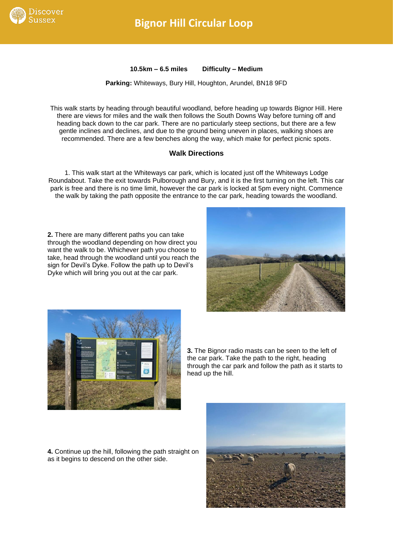

## **Bignor Hill Circular Loop**

**10.5km – 6.5 miles Difficulty – Medium**

**Parking:** Whiteways, Bury Hill, Houghton, Arundel, BN18 9FD

This walk starts by heading through beautiful woodland, before heading up towards Bignor Hill. Here there are views for miles and the walk then follows the South Downs Way before turning off and heading back down to the car park. There are no particularly steep sections, but there are a few gentle inclines and declines, and due to the ground being uneven in places, walking shoes are recommended. There are a few benches along the way, which make for perfect picnic spots.

## **Walk Directions**

1. This walk start at the Whiteways car park, which is located just off the Whiteways Lodge Roundabout. Take the exit towards Pulborough and Bury, and it is the first turning on the left. This car park is free and there is no time limit, however the car park is locked at 5pm every night. Commence the walk by taking the path opposite the entrance to the car park, heading towards the woodland.

**2.** There are many different paths you can take through the woodland depending on how direct you want the walk to be. Whichever path you choose to take, head through the woodland until you reach the sign for Devil's Dyke. Follow the path up to Devil's Dyke which will bring you out at the car park.





**3.** The Bignor radio masts can be seen to the left of the car park. Take the path to the right, heading through the car park and follow the path as it starts to head up the hill.

**4.** Continue up the hill, following the path straight on as it begins to descend on the other side.